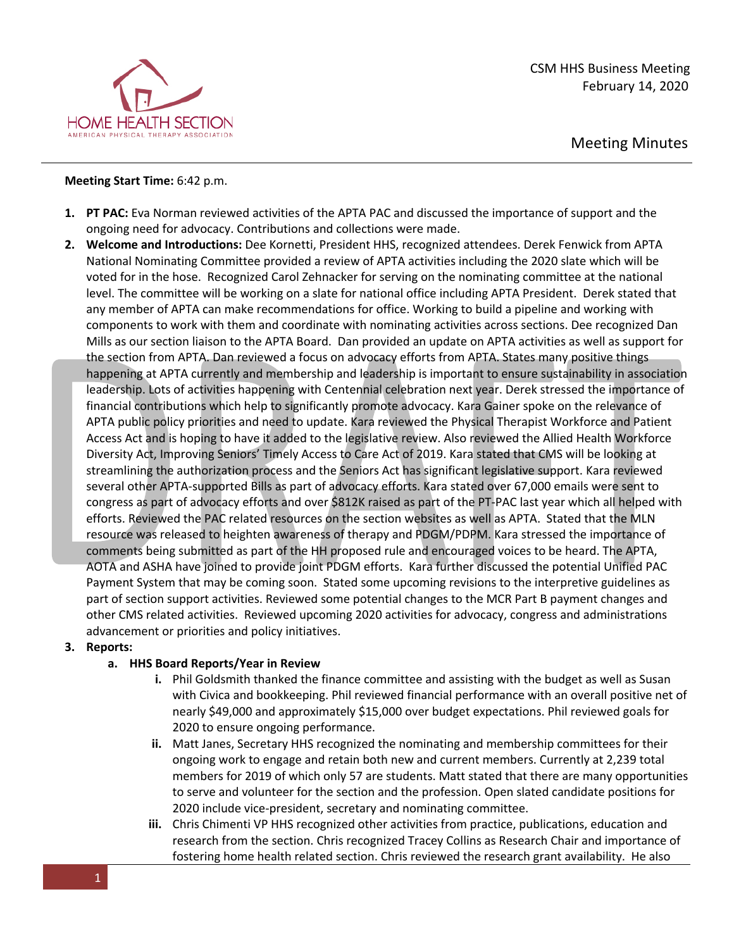

## **Meeting Start Time:** 6:42 p.m.

- **1. PT PAC:** Eva Norman reviewed activities of the APTA PAC and discussed the importance of support and the ongoing need for advocacy. Contributions and collections were made.
- **2. Welcome and Introductions:** Dee Kornetti, President HHS, recognized attendees. Derek Fenwick from APTA National Nominating Committee provided a review of APTA activities including the 2020 slate which will be voted for in the hose. Recognized Carol Zehnacker for serving on the nominating committee at the national level. The committee will be working on a slate for national office including APTA President. Derek stated that any member of APTA can make recommendations for office. Working to build a pipeline and working with components to work with them and coordinate with nominating activities across sections. Dee recognized Dan Mills as our section liaison to the APTA Board. Dan provided an update on APTA activities as well as support for the section from APTA. Dan reviewed a focus on advocacy efforts from APTA. States many positive things happening at APTA currently and membership and leadership is important to ensure sustainability in association leadership. Lots of activities happening with Centennial celebration next year. Derek stressed the importance of financial contributions which help to significantly promote advocacy. Kara Gainer spoke on the relevance of APTA public policy priorities and need to update. Kara reviewed the Physical Therapist Workforce and Patient Access Act and is hoping to have it added to the legislative review. Also reviewed the Allied Health Workforce Diversity Act, Improving Seniors' Timely Access to Care Act of 2019. Kara stated that CMS will be looking at streamlining the authorization process and the Seniors Act has significant legislative support. Kara reviewed several other APTA-supported Bills as part of advocacy efforts. Kara stated over 67,000 emails were sent to congress as part of advocacy efforts and over \$812K raised as part of the PT-PAC last year which all helped with efforts. Reviewed the PAC related resources on the section websites as well as APTA. Stated that the MLN resource was released to heighten awareness of therapy and PDGM/PDPM. Kara stressed the importance of comments being submitted as part of the HH proposed rule and encouraged voices to be heard. The APTA, AOTA and ASHA have joined to provide joint PDGM efforts. Kara further discussed the potential Unified PAC Payment System that may be coming soon. Stated some upcoming revisions to the interpretive guidelines as part of section support activities. Reviewed some potential changes to the MCR Part B payment changes and other CMS related activities. Reviewed upcoming 2020 activities for advocacy, congress and administrations advancement or priorities and policy initiatives.

## **3. Reports:**

## **a. HHS Board Reports/Year in Review**

- **i.** Phil Goldsmith thanked the finance committee and assisting with the budget as well as Susan with Civica and bookkeeping. Phil reviewed financial performance with an overall positive net of nearly \$49,000 and approximately \$15,000 over budget expectations. Phil reviewed goals for 2020 to ensure ongoing performance.
- **ii.** Matt Janes, Secretary HHS recognized the nominating and membership committees for their ongoing work to engage and retain both new and current members. Currently at 2,239 total members for 2019 of which only 57 are students. Matt stated that there are many opportunities to serve and volunteer for the section and the profession. Open slated candidate positions for 2020 include vice-president, secretary and nominating committee.
- **iii.** Chris Chimenti VP HHS recognized other activities from practice, publications, education and research from the section. Chris recognized Tracey Collins as Research Chair and importance of fostering home health related section. Chris reviewed the research grant availability. He also